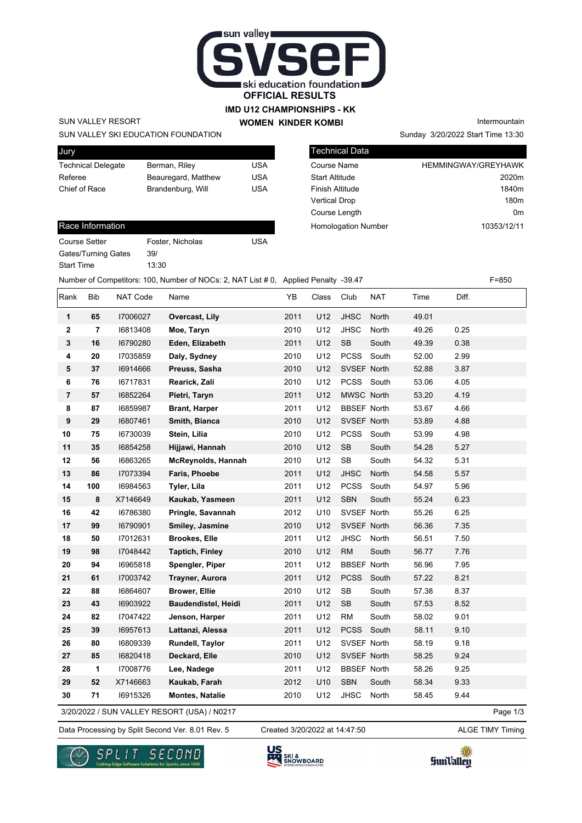

### **IMD U12 CHAMPIONSHIPS - KK WOMEN KINDER KOMBI**

### SUN VALLEY RESORT

#### SUN VALLEY SKI EDUCATION FOUNDATION

| Jury                      |                     |     |
|---------------------------|---------------------|-----|
| <b>Technical Delegate</b> | Berman, Riley       | USA |
| Referee                   | Beauregard, Matthew | USA |
| Chief of Race             | Brandenburg, Will   | USA |
|                           |                     |     |

# Technical Data Course Name **HEMMINGWAY/GREYHAWK** Start Altitude 2020m

Finish Altitude 1840m Vertical Drop 180m Course Length **Course Length 0m** Homologation Number 10353/12/11

Sunday 3/20/2022 Start Time 13:30

Intermountain

#### Race Information

| <b>Course Setter</b> | Foster, Nicholas | USA |
|----------------------|------------------|-----|
| Gates/Turning Gates  | 39/              |     |
| <b>Start Time</b>    | 13:30            |     |

| Number of Competitors: 100, Number of NOCs: 2, NAT List #0, Applied Penalty -39.47 |                |          |                            |      |       |                      |            | $F = 850$ |       |  |
|------------------------------------------------------------------------------------|----------------|----------|----------------------------|------|-------|----------------------|------------|-----------|-------|--|
| Rank                                                                               | <b>Bib</b>     | NAT Code | Name                       | YB   | Class | Club                 | <b>NAT</b> | Time      | Diff. |  |
| $\mathbf 1$                                                                        | 65             | 17006027 | Overcast, Lily             | 2011 | U12   | <b>JHSC</b>          | North      | 49.01     |       |  |
| $\mathbf 2$                                                                        | $\overline{7}$ | 16813408 | Moe, Taryn                 | 2010 | U12   | <b>JHSC</b>          | North      | 49.26     | 0.25  |  |
| 3                                                                                  | 16             | 16790280 | Eden, Elizabeth            | 2011 | U12   | SB                   | South      | 49.39     | 0.38  |  |
| 4                                                                                  | 20             | 17035859 | Daly, Sydney               | 2010 | U12   | PCSS                 | South      | 52.00     | 2.99  |  |
| 5                                                                                  | 37             | 16914666 | Preuss, Sasha              | 2010 | U12   | SVSEF North          |            | 52.88     | 3.87  |  |
| 6                                                                                  | 76             | 16717831 | Rearick, Zali              | 2010 | U12   | PCSS                 | South      | 53.06     | 4.05  |  |
| $\overline{7}$                                                                     | 57             | 16852264 | Pietri, Taryn              | 2011 | U12   | MWSC North           |            | 53.20     | 4.19  |  |
| 8                                                                                  | 87             | 16859987 | <b>Brant, Harper</b>       | 2011 | U12   | <b>BBSEF North</b>   |            | 53.67     | 4.66  |  |
| 9                                                                                  | 29             | 16807461 | Smith, Bianca              | 2010 | U12   | SVSEF North          |            | 53.89     | 4.88  |  |
| 10                                                                                 | 75             | 16730039 | Stein, Lilia               | 2010 | U12   | <b>PCSS</b>          | South      | 53.99     | 4.98  |  |
| 11                                                                                 | 35             | 16854258 | Hijjawi, Hannah            | 2010 | U12   | $\mathsf{SB}\xspace$ | South      | 54.28     | 5.27  |  |
| 12                                                                                 | 56             | 16863265 | <b>McReynolds, Hannah</b>  | 2010 | U12   | SB                   | South      | 54.32     | 5.31  |  |
| 13                                                                                 | 86             | 17073394 | Faris, Phoebe              | 2011 | U12   | <b>JHSC</b>          | North      | 54.58     | 5.57  |  |
| 14                                                                                 | 100            | 16984563 | Tyler, Lila                | 2011 | U12   | <b>PCSS</b>          | South      | 54.97     | 5.96  |  |
| 15                                                                                 | $\bf8$         | X7146649 | Kaukab, Yasmeen            | 2011 | U12   | SBN                  | South      | 55.24     | 6.23  |  |
| 16                                                                                 | 42             | 16786380 | Pringle, Savannah          | 2012 | U10   | SVSEF North          |            | 55.26     | 6.25  |  |
| 17                                                                                 | 99             | 16790901 | Smiley, Jasmine            | 2010 | U12   | SVSEF North          |            | 56.36     | 7.35  |  |
| 18                                                                                 | 50             | 17012631 | <b>Brookes, Elle</b>       | 2011 | U12   | <b>JHSC</b>          | North      | 56.51     | 7.50  |  |
| 19                                                                                 | 98             | 17048442 | <b>Taptich, Finley</b>     | 2010 | U12   | <b>RM</b>            | South      | 56.77     | 7.76  |  |
| 20                                                                                 | 94             | 16965818 | Spengler, Piper            | 2011 | U12   | <b>BBSEF North</b>   |            | 56.96     | 7.95  |  |
| 21                                                                                 | 61             | 17003742 | Trayner, Aurora            | 2011 | U12   | <b>PCSS</b>          | South      | 57.22     | 8.21  |  |
| 22                                                                                 | 88             | 16864607 | <b>Brower, Ellie</b>       | 2010 | U12   | SB                   | South      | 57.38     | 8.37  |  |
| 23                                                                                 | 43             | 16903922 | <b>Baudendistel, Heidi</b> | 2011 | U12   | SB                   | South      | 57.53     | 8.52  |  |
| 24                                                                                 | 82             | 17047422 | Jenson, Harper             | 2011 | U12   | <b>RM</b>            | South      | 58.02     | 9.01  |  |
| 25                                                                                 | 39             | 16957613 | Lattanzi, Alessa           | 2011 | U12   | <b>PCSS</b>          | South      | 58.11     | 9.10  |  |
| 26                                                                                 | 80             | 16809339 | Rundell, Taylor            | 2011 | U12   | SVSEF North          |            | 58.19     | 9.18  |  |
| 27                                                                                 | 85             | 16820418 | Deckard, Elle              | 2010 | U12   | SVSEF North          |            | 58.25     | 9.24  |  |
| 28                                                                                 | 1              | 17008776 | Lee, Nadege                | 2011 | U12   | <b>BBSEF North</b>   |            | 58.26     | 9.25  |  |
| 29                                                                                 | 52             | X7146663 | Kaukab, Farah              | 2012 | U10   | <b>SBN</b>           | South      | 58.34     | 9.33  |  |
| 30                                                                                 | 71             | 16915326 | <b>Montes, Natalie</b>     | 2010 | U12   | <b>JHSC</b>          | North      | 58.45     | 9.44  |  |

3/20/2022 / SUN VALLEY RESORT (USA) / N0217

Data Processing by Split Second Ver. 8.01 Rev. 5 Created 3/20/2022 at 14:47:50 ALGE TIMY Timing Created 3/20/2022 at 14:47:50

Page 1/3





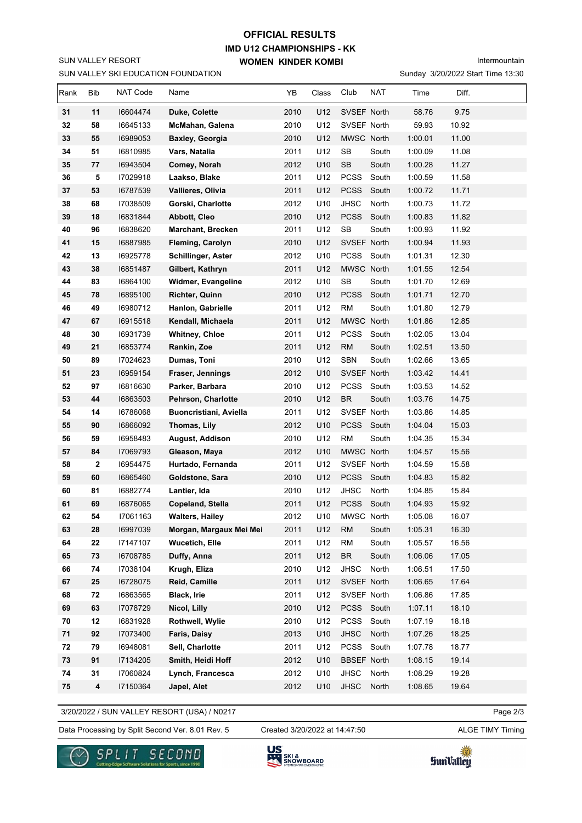## SUN VALLEY RESORT

# **IMD U12 CHAMPIONSHIPS - KK WOMEN KINDER KOMBI OFFICIAL RESULTS**

Intermountain

|      |            |          | SUN VALLEY SKI EDUCATION FOUNDATION |      |       |                                   |            |         | Sunday 3/20/2022 Start Time 13:30 |  |
|------|------------|----------|-------------------------------------|------|-------|-----------------------------------|------------|---------|-----------------------------------|--|
| Rank | Bib        | NAT Code | Name                                | YB   | Class | Club                              | <b>NAT</b> | Time    | Diff.                             |  |
| 31   | 11         | 16604474 | Duke, Colette                       | 2010 | U12   | SVSEF North                       |            | 58.76   | 9.75                              |  |
| 32   | 58         | 16645133 | McMahan, Galena                     | 2010 | U12   | SVSEF North                       |            | 59.93   | 10.92                             |  |
| 33   | 55         | 16989053 | Baxley, Georgia                     | 2010 | U12   | MWSC North                        |            | 1:00.01 | 11.00                             |  |
| 34   | 51         | 16810985 | Vars, Natalia                       | 2011 | U12   | SB                                | South      | 1:00.09 | 11.08                             |  |
| 35   | 77         | 16943504 | Comey, Norah                        | 2012 | U10   | SB                                | South      | 1:00.28 | 11.27                             |  |
| 36   | 5          | 17029918 | Laakso, Blake                       | 2011 | U12   | <b>PCSS</b>                       | South      | 1:00.59 | 11.58                             |  |
| 37   | 53         | 16787539 | Vallieres, Olivia                   | 2011 | U12   | <b>PCSS</b>                       | South      | 1:00.72 | 11.71                             |  |
| 38   | 68         | 17038509 | Gorski, Charlotte                   | 2012 | U10   | <b>JHSC</b>                       | North      | 1:00.73 | 11.72                             |  |
| 39   | 18         | 16831844 | Abbott, Cleo                        | 2010 | U12   | <b>PCSS</b>                       | South      | 1:00.83 | 11.82                             |  |
| 40   | 96         | 16838620 | <b>Marchant, Brecken</b>            | 2011 | U12   | <b>SB</b>                         | South      | 1:00.93 | 11.92                             |  |
| 41   | 15         | 16887985 | Fleming, Carolyn                    | 2010 | U12   | SVSEF North                       |            | 1:00.94 | 11.93                             |  |
| 42   | 13         | 16925778 | Schillinger, Aster                  | 2012 | U10   | PCSS South                        |            | 1:01.31 | 12.30                             |  |
| 43   | 38         | 16851487 | Gilbert, Kathryn                    | 2011 | U12   | MWSC North                        |            | 1:01.55 | 12.54                             |  |
| 44   | 83         | 16864100 | <b>Widmer, Evangeline</b>           | 2012 | U10   | SB                                | South      | 1:01.70 | 12.69                             |  |
| 45   | 78         | 16895100 | Richter, Quinn                      | 2010 | U12   | <b>PCSS</b>                       | South      | 1:01.71 | 12.70                             |  |
| 46   | 49         | 16980712 | Hanlon, Gabrielle                   | 2011 | U12   | <b>RM</b>                         | South      | 1:01.80 | 12.79                             |  |
| 47   | 67         | 16915518 | Kendall, Michaela                   | 2011 | U12   | MWSC North                        |            | 1:01.86 | 12.85                             |  |
| 48   | 30         | 16931739 | <b>Whitney, Chloe</b>               | 2011 | U12   | PCSS                              | South      | 1:02.05 | 13.04                             |  |
| 49   | 21         | 16853774 | Rankin, Zoe                         | 2011 | U12   | <b>RM</b>                         | South      | 1:02.51 | 13.50                             |  |
| 50   | 89         | 17024623 | Dumas, Toni                         | 2010 | U12   | <b>SBN</b>                        | South      | 1:02.66 | 13.65                             |  |
| 51   | 23         | 16959154 | Fraser, Jennings                    | 2012 | U10   | SVSEF North                       |            | 1:03.42 | 14.41                             |  |
| 52   | 97         | 16816630 | Parker, Barbara                     | 2010 | U12   | <b>PCSS</b>                       | South      | 1:03.53 | 14.52                             |  |
| 53   | 44         | 16863503 | Pehrson, Charlotte                  | 2010 | U12   | <b>BR</b>                         | South      | 1:03.76 | 14.75                             |  |
| 54   | 14         | 16786068 | Buoncristiani, Aviella              | 2011 | U12   | SVSEF North                       |            | 1:03.86 | 14.85                             |  |
| 55   | 90         | 16866092 | Thomas, Lily                        | 2012 | U10   | <b>PCSS</b>                       | South      | 1:04.04 | 15.03                             |  |
| 56   | 59         | 16958483 | August, Addison                     | 2010 | U12   | <b>RM</b>                         | South      | 1:04.35 | 15.34                             |  |
| 57   | 84         | 17069793 | Gleason, Maya                       | 2012 | U10   | MWSC North                        |            | 1:04.57 | 15.56                             |  |
| 58   | 2          | 16954475 | Hurtado, Fernanda                   | 2011 | U12   | SVSEF North                       |            | 1:04.59 | 15.58                             |  |
| 59   | 60         | 16865460 | Goldstone, Sara                     | 2010 | U12   | PCSS South                        |            | 1:04.83 | 15.82                             |  |
| 60   | 81         | 16882774 | Lantier, Ida                        | 2010 | U12   | <b>JHSC</b>                       | North      | 1:04.85 | 15.84                             |  |
| 61   | 69         | 16876065 | Copeland, Stella                    | 2011 | U12   | PCSS South                        |            | 1:04.93 | 15.92                             |  |
| 62   | 54         | 17061163 | <b>Walters, Hailey</b>              | 2012 | U10   | MWSC North                        |            | 1:05.08 | 16.07                             |  |
| 63   | 28         | 16997039 | Morgan, Margaux Mei Mei             | 2011 | U12   | <b>RM</b>                         | South      | 1:05.31 | 16.30                             |  |
| 64   | ${\bf 22}$ | 17147107 | <b>Wucetich, Elle</b>               | 2011 | U12   | <b>RM</b>                         | South      | 1:05.57 | 16.56                             |  |
| 65   | 73         | 16708785 | Duffy, Anna                         | 2011 | U12   | $\ensuremath{\mathsf{BR}}\xspace$ | South      | 1:06.06 | 17.05                             |  |
| 66   | 74         | 17038104 | Krugh, Eliza                        | 2010 | U12   | JHSC                              | North      | 1:06.51 | 17.50                             |  |
| 67   | 25         | 16728075 | Reid, Camille                       | 2011 | U12   | SVSEF North                       |            | 1:06.65 | 17.64                             |  |
| 68   | ${\bf 72}$ | 16863565 | Black, Irie                         | 2011 | U12   | SVSEF North                       |            | 1:06.86 | 17.85                             |  |
| 69   | 63         | 17078729 | Nicol, Lilly                        | 2010 | U12   | PCSS South                        |            | 1:07.11 | 18.10                             |  |
| 70   | 12         | 16831928 | Rothwell, Wylie                     | 2010 | U12   | PCSS                              | South      | 1:07.19 | 18.18                             |  |
| 71   | 92         | 17073400 | Faris, Daisy                        | 2013 | U10   | <b>JHSC</b>                       | North      | 1:07.26 | 18.25                             |  |
| 72   | 79         | 16948081 | Sell, Charlotte                     | 2011 | U12   | PCSS                              | South      | 1:07.78 | 18.77                             |  |
| 73   | 91         | 17134205 | Smith, Heidi Hoff                   | 2012 | U10   | <b>BBSEF North</b>                |            | 1:08.15 | 19.14                             |  |
| 74   | 31         | 17060824 | Lynch, Francesca                    | 2012 | U10   | JHSC                              | North      | 1:08.29 | 19.28                             |  |
| 75   | 4          | 17150364 | Japel, Alet                         | 2012 | U10   | <b>JHSC</b>                       | North      | 1:08.65 | 19.64                             |  |

3/20/2022 / SUN VALLEY RESORT (USA) / N0217

Data Processing by Split Second Ver. 8.01 Rev. 5 Created 3/20/2022 at 14:47:50 ALGE TIMY Timing

Created 3/20/2022 at 14:47:50

Page 2/3